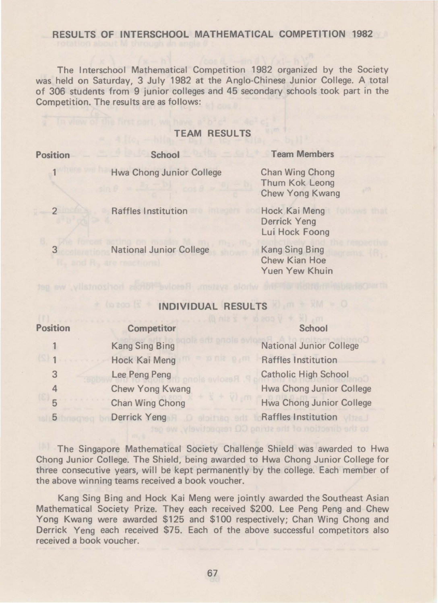## **RESULTS OF INTERSCHOOL MATHEMATICAL COMPETITION 1982**

The Interschool Mathematical Competition 1982 organized by the Society was held on Saturday, 3 July 1982 at the Anglo-Chinese Junior College. A total of 306 students from 9 junior colleges and 45 secondary schools took part in the Competition. The results are as follows:

## **TEAM RESULTS**

| <b>Position</b> | <b>School</b>                  | <b>Team Members</b>                                      |
|-----------------|--------------------------------|----------------------------------------------------------|
|                 | Hwa Chong Junior College       | Chan Wing Chong<br>Thum Kok Leong<br>Chew Yong Kwang     |
| 2               | <b>Raffles Institution</b>     | Hock Kai Meng<br>Derrick Yeng<br>Lui Hock Foong          |
|                 | <b>National Junior College</b> | <b>Kang Sing Bing</b><br>Chew Kian Hoe<br>Yuen Yew Khuin |

**INDIVIDUAL RESULTS IM = 0** 

| <b>Position</b> | Competitor                       | School                          |
|-----------------|----------------------------------|---------------------------------|
|                 | <b>Kang Sing Bing</b>            | <b>National Junior College</b>  |
|                 | Hock Kai Meng<br><b>XXXXXXXX</b> | <b>Raffles Institution</b>      |
| 3               | Lee Peng Peng                    | <b>Catholic High School</b>     |
|                 | Chew Yong Kwang                  | Hwa Chong Junior College        |
| 5               | Chan Wing Chong                  | <b>Hwa Chong Junior College</b> |
| $\overline{5}$  | Derrick Yeng<br>马门生              | <b>Raffles Institution</b>      |

The Singapore Mathematical Society Challenge Shield was awarded to Hwa Chong Junior College. The Shield, being awarded to Hwa Chong Junior College for three consecutive years, will be kept permanently by the college. Each member of the above winning teams received a book voucher.

Kang Sing Bing and Hock Kai Meng were jointly awarded the Southeast Asian Mathematical Society Prize. They each received \$200. Lee Peng Peng and Chew Yong Kwang were awarded \$125 and \$100 respectively; Chan Wing Chong and Derrick Yeng each received \$75. Each of the above successful competitors also received a book voucher.